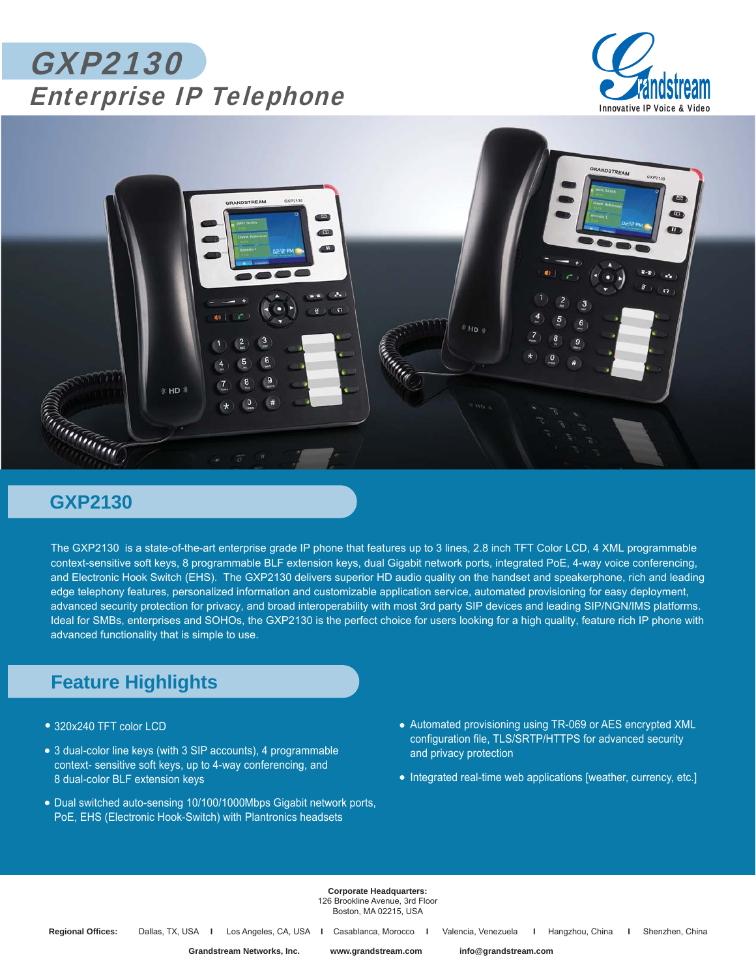## GXP2130 Enterprise IP Telephone





## **GXP2130**

The GXP2130 is a state-of-the-art enterprise grade IP phone that features up to 3 lines, 2.8 inch TFT Color LCD, 4 XML programmable context-sensitive soft keys, 8 programmable BLF extension keys, dual Gigabit network ports, integrated PoE, 4-way voice conferencing, and Electronic Hook Switch (EHS). The GXP2130 delivers superior HD audio quality on the handset and speakerphone, rich and leading edge telephony features, personalized information and customizable application service, automated provisioning for easy deployment, advanced security protection for privacy, and broad interoperability with most 3rd party SIP devices and leading SIP/NGN/IMS platforms. Ideal for SMBs, enterprises and SOHOs, the GXP2130 is the perfect choice for users looking for a high quality, feature rich IP phone with advanced functionality that is simple to use.

## **Feature Highlights**

- 320x240 TFT color LCD *•*
- 3 dual-color line keys (with 3 SIP accounts), 4 programmable *•* context- sensitive soft keys, up to 4-way conferencing, and 8 dual-color BLF extension keys
- Dual switched auto-sensing 10/100/1000Mbps Gigabit network ports, *•* PoE, EHS (Electronic Hook-Switch) with Plantronics headsets
- Automated provisioning using TR-069 or AES encrypted XML *•* configuration file, TLS/SRTP/HTTPS for advanced security and privacy protection
- Integrated real-time web applications [weather, currency, etc.]

**Corporate Headquarters:** 126 Brookline Avenue, 3rd Floor Boston, MA 02215, USA